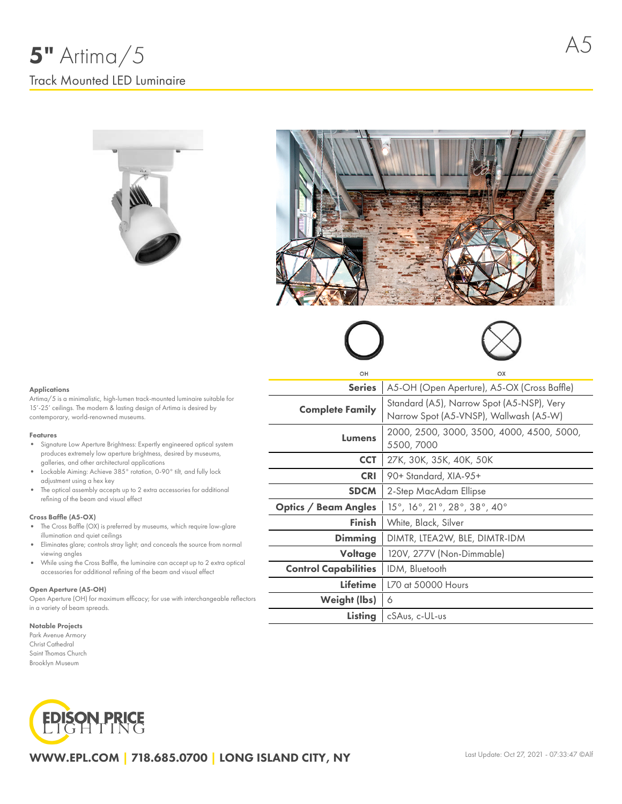



# Applications

Artima/5 is a minimalistic, high-lumen track-mounted luminaire suitable for 15'-25' ceilings. The modern & lasting design of Artima is desired by contemporary, world-renowned museums.

# Features

- Signature Low Aperture Brightness: Expertly engineered optical system produces extremely low aperture brightness, desired by museums, galleries, and other architectural applications
- Lockable Aiming: Achieve 385° rotation, 0-90° tilt, and fully lock adjustment using a hex key
- The optical assembly accepts up to 2 extra accessories for additional refining of the beam and visual effect

# Cross Baffle (A5-OX)

- The Cross Baffle (OX) is preferred by museums, which require low-glare illumination and quiet ceilings
- Eliminates glare; controls stray light; and conceals the source from normal viewing angles
- While using the Cross Baffle, the luminaire can accept up to 2 extra optical  $\bullet$ accessories for additional refining of the beam and visual effect

#### Open Aperture (A5-OH)

Open Aperture (OH) for maximum efficacy; for use with interchangeable reflectors in a variety of beam spreads.

#### Notable Projects

Park Avenue Armory Christ Cathedral Saint Thomas Church Brooklyn Museum



| OH                          | OX                                                                                  |  |  |  |  |  |
|-----------------------------|-------------------------------------------------------------------------------------|--|--|--|--|--|
| <b>Series</b>               | A5-OH (Open Aperture), A5-OX (Cross Baffle)                                         |  |  |  |  |  |
| <b>Complete Family</b>      | Standard (A5), Narrow Spot (A5-NSP), Very<br>Narrow Spot (A5-VNSP), Wallwash (A5-W) |  |  |  |  |  |
| Lumens                      | 2000, 2500, 3000, 3500, 4000, 4500, 5000,<br>5500, 7000                             |  |  |  |  |  |
| <b>CCT</b>                  | 27K, 30K, 35K, 40K, 50K                                                             |  |  |  |  |  |
| <b>CRI</b>                  | 90+ Standard, XIA-95+                                                               |  |  |  |  |  |
| <b>SDCM</b>                 | 2-Step MacAdam Ellipse                                                              |  |  |  |  |  |
| <b>Optics / Beam Angles</b> | 15°, 16°, 21°, 28°, 38°, 40°                                                        |  |  |  |  |  |
| Finish                      | White, Black, Silver                                                                |  |  |  |  |  |
| Dimming                     | DIMTR, LTEA2W, BLE, DIMTR-IDM                                                       |  |  |  |  |  |
| Voltage                     | 120V, 277V (Non-Dimmable)                                                           |  |  |  |  |  |
| <b>Control Capabilities</b> | IDM, Bluetooth                                                                      |  |  |  |  |  |
| <b>Lifetime</b>             | L70 at 50000 Hours                                                                  |  |  |  |  |  |
| Weight (lbs)                | 6                                                                                   |  |  |  |  |  |
| Listing                     | cSAus, c-UL-us                                                                      |  |  |  |  |  |
|                             |                                                                                     |  |  |  |  |  |

# WWW.EPL.COM | 718.685.0700 | LONG ISLAND CITY, NY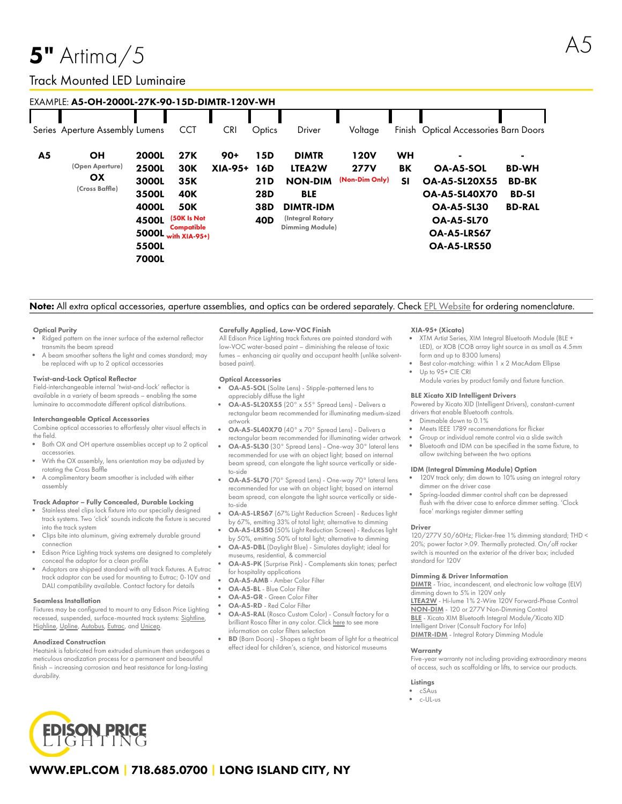# $5"$  Artima $/5$

# Track Mounted LED Luminaire

# EXAMPLE: A5-OH-2000L-27K-90-15D-DIMTR-120V-WH

|                | Series Aperture Assembly Lumens                             |                                                                                    | <b>CCT</b>                                                                                                       | <b>CRI</b>       | Optics                                                    | Driver                                                                                                                   | Voltage                                      | Finish                       | <b>Optical Accessories Barn Doors</b>                                                                                                                  |                                                               |
|----------------|-------------------------------------------------------------|------------------------------------------------------------------------------------|------------------------------------------------------------------------------------------------------------------|------------------|-----------------------------------------------------------|--------------------------------------------------------------------------------------------------------------------------|----------------------------------------------|------------------------------|--------------------------------------------------------------------------------------------------------------------------------------------------------|---------------------------------------------------------------|
| A <sub>5</sub> | <b>OH</b><br>(Open Aperture)<br><b>OX</b><br>(Cross Baffle) | <b>2000L</b><br><b>2500L</b><br>3000L<br>3500L<br>4000L<br>4500L<br>5500L<br>7000L | <b>27K</b><br><b>30K</b><br>35K<br><b>40K</b><br><b>50K</b><br>(50K Is Not<br>Compatible<br>5000L with $XIA-95+$ | $90+$<br>XIA-95+ | 15D<br>16D<br>21D<br><b>28D</b><br>38D<br>40 <sub>D</sub> | <b>DIMTR</b><br>LTEA2W<br><b>NON-DIM</b><br><b>BLE</b><br><b>DIMTR-IDM</b><br>(Integral Rotary<br><b>Dimming Module)</b> | <b>120V</b><br><b>277V</b><br>(Non-Dim Only) | <b>WH</b><br>BK<br><b>SI</b> | <b>OA-A5-SOL</b><br><b>OA-A5-SL20X55</b><br><b>OA-A5-SL40X70</b><br><b>OA-A5-SL30</b><br><b>OA-A5-SL70</b><br><b>OA-A5-LRS67</b><br><b>OA-A5-LRS50</b> | <b>BD-WH</b><br><b>BD-BK</b><br><b>BD-SI</b><br><b>BD-RAL</b> |

# Note: All extra optical accessories, aperture assemblies, and optics can be ordered separately. Check EPL [Website](https://www.epl.com/) for ordering nomenclature.

# Optical Purity

- Ridged pattern on the inner surface of the external reflector transmits the beam spread
- A beam smoother softens the light and comes standard; may be replaced with up to 2 optical accessories

## Twist-and-Lock Optical Reflector

Field-interchangeable internal 'twist-and-lock' reflector is available in a variety of beam spreads – enabling the same luminaire to accommodate different optical distributions.

## Interchangeable Optical Accessories

Combine optical accessories to effortlessly alter visual effects in the field.

- Both OX and OH aperture assemblies accept up to 2 optical accessories.
- With the OX assembly, lens orientation may be adjusted by rotating the Cross Baffle
- A complimentary beam smoother is included with either assembly

# Track Adaptor – Fully Concealed, Durable Locking

- Stainless steel clips lock fixture into our specially designed track systems. Two 'click' sounds indicate the fixture is secured into the track system
- Clips bite into aluminum, giving extremely durable ground connection
- Edison Price Lighting track systems are designed to completely conceal the adaptor for a clean profile
- Adaptors are shipped standard with all track fixtures. A Eutrac track adaptor can be used for mounting to Eutrac; 0-10V and DALI compatibility available. Contact factory for details

# Seamless Installation

Fixtures may be configured to mount to any Edison Price Lighting recessed, suspended, surface-mounted track systems: [Sightline,](https://epl.com/sightline/) [Highline](https://epl.com/highline/), [Upline](https://epl.com/upline/), [Autobus,](https://epl.com/autobus/) [Eutrac,](https://eutrac.de/product/2surface-track-bus/?lang=en) and [Unicep.](https://epl.com/unicep/)

# Anodized Construction

Heatsink is fabricated from extruded aluminum then undergoes a meticulous anodization process for a permanent and beautiful finish – increasing corrosion and heat resistance for long-lasting durability.

# Carefully Applied, Low-VOC Finish

All Edison Price Lighting track fixtures are painted standard with low-VOC water-based paint – diminishing the release of toxic fumes – enhancing air quality and occupant health (unlike solventbased paint).

# Optical Accessories

- OA-A5-SOL (Solite Lens) Stipple-patterned lens to appreciably diffuse the light
- OA-A5-SL20X55 (20° x 55° Spread Lens) Delivers a rectangular beam recommended for illuminating medium-sized artwork
- OA-A5-SL40X70 (40° x 70° Spread Lens) Delivers a rectangular beam recommended for illuminating wider artwork
- OA-A5-SL30 (30° Spread Lens) One-way 30° lateral lens recommended for use with an object light; based on internal beam spread, can elongate the light source vertically or sideto-side
- OA-A5-SL70 (70° Spread Lens) One-way 70° lateral lens recommended for use with an object light; based on internal beam spread, can elongate the light source vertically or sideto-side
- OA-A5-LRS67 (67% Light Reduction Screen) Reduces light by 67%, emitting 33% of total light; alternative to dimming
- OA-A5-LRS50 (50% Light Reduction Screen) Reduces light by 50%, emitting 50% of total light; alternative to dimming
- museums, residential, & commercial
- for hospitality applications
- OA-A5-AMB Amber Color Filter
- OA-A5-BL Blue Color Filter
- OA-A5-GR Green Color Filter
- OA-A5-RD Red Color Filter
- OA-A5-RAL (Rosco Custom Color) Consult factory for a brilliant Rosco filter in any color. Click [here](https://us.rosco.com/en/products/catalog/roscolux) to see more information on color filters selection
- BD (Barn Doors) Shapes a tight beam of light for a theatrical effect ideal for children's, science, and historical museums

# XIA-95+ (Xicato)

- XTM Artist Series, XIM Integral Bluetooth Module (BLE + LED), or XOB (COB array light source in as small as 4.5mm form and up to 8300 lumens)
- Best color-matching: within 1 x 2 MacAdam Ellipse Up to 95+ CIE CRI
- Module varies by product family and fixture function.

# BLE Xicato XID Intelligent Drivers

Powered by Xicato XID (Intelligent Drivers), constant-current drivers that enable Bluetooth controls.

- Dimmable down to 0.1%
- Meets IEEE 1789 recommendations for flicker
- Group or individual remote control via a slide switch
- Bluetooth and IDM can be specified in the same fixture, to allow switching between the two options

## IDM (Integral Dimming Module) Option

- 120V track only; dim down to 10% using an integral rotary dimmer on the driver case
- Spring-loaded dimmer control shaft can be depressed flush with the driver case to enforce dimmer setting. 'Clock face' markings register dimmer setting

## Driver

120/277V 50/60Hz; Flicker-free 1% dimming standard; THD < 20%; power factor >.09. Thermally protected. On/off rocker switch is mounted on the exterior of the driver box; included standard for 120V

## Dimming & Driver Information

[DIMTR](http://epl.com/media/driver/dimtr.pdf) - Triac, incandescent, and electronic low voltage (ELV) dimming down to 5% in 120V only [LTEA2W](http://epl.com/media/driver/ltea2w.pdf) - Hi-lume 1% 2-Wire 120V Forward-Phase Control [NON-DIM](http://epl.com/media/driver/non-dim.pdf) - 120 or 277V Non-Dimming Control [BLE](http://epl.com/media/driver/ble.pdf) - Xicato XIM Bluetooth Integral Module/Xicato XID Intelligent Driver (Consult Factory For Info)

[DIMTR-IDM](http://epl.com/media/driver/dimtr-idm.pdf) - Integral Rotary Dimming Module

# **Warranty**

Five-year warranty not including providing extraordinary means of access, such as scaffolding or lifts, to service our products.

# Listings

- cSAus
- c-UL-us



# WWW.EPL.COM | 718.685.0700 | LONG ISLAND CITY, NY

- 
- OA-A5-DBL (Daylight Blue) Simulates daylight; ideal for
- OA-A5-PK (Surprise Pink) Complements skin tones; perfect
- 
-